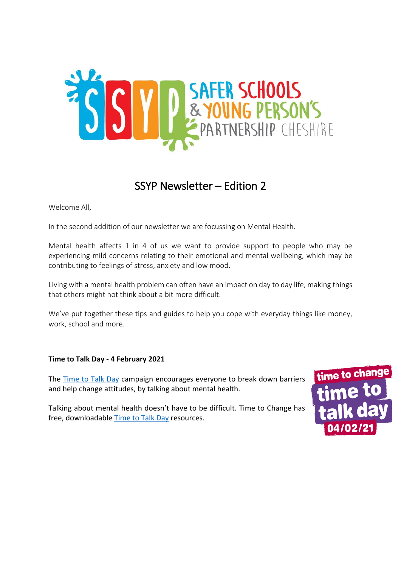

## SSYP Newsletter – Edition 2

Welcome All,

In the second addition of our newsletter we are focussing on Mental Health.

Mental health affects 1 in 4 of us we want to provide support to people who may be experiencing mild concerns relating to their emotional and mental wellbeing, which may be contributing to feelings of stress, anxiety and low mood.

Living with a mental health problem can often have an impact on day to day life, making things that others might not think about a bit more difficult.

We've put together these tips and guides to help you cope with everyday things like money, work, school and more.

#### **Time to Talk Day - 4 February 2021**

The [Time to Talk Day](https://www.time-to-change.org.uk/get-involved/time-talk-day) campaign encourages everyone to break down barriers and help change attitudes, by talking about mental health.

Talking about mental health doesn't have to be difficult. Time to Change has free, downloadable [Time to Talk Day](https://www.time-to-change.org.uk/resources/create-download-materials#/~/embed/resources/collection/565) resources.

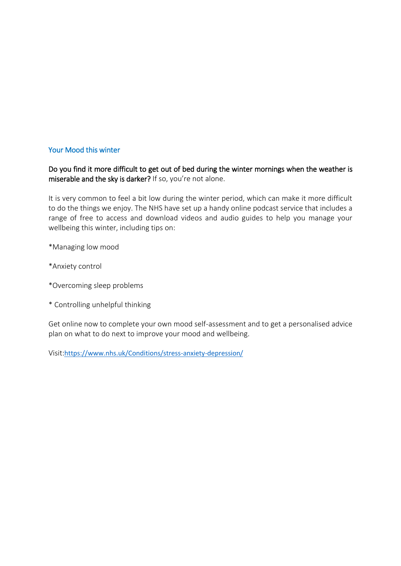#### Your Mood this winter

Do you find it more difficult to get out of bed during the winter mornings when the weather is miserable and the sky is darker? If so, you're not alone.

It is very common to feel a bit low during the winter period, which can make it more difficult to do the things we enjoy. The NHS have set up a handy online podcast service that includes a range of free to access and download videos and audio guides to help you manage your wellbeing this winter, including tips on:

\*Managing low mood

\*Anxiety control

\*Overcoming sleep problems

\* Controlling unhelpful thinking

Get online now to complete your own mood self-assessment and to get a personalised advice plan on what to do next to improve your mood and wellbeing.

Visit:<https://www.nhs.uk/Conditions/stress-anxiety-depression/>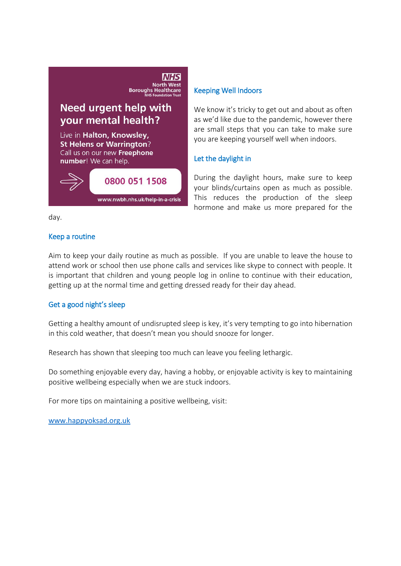# **NATION**<br>
North West<br>
Boroughs Healthcare

### Need urgent help with your mental health?

Live in Halton, Knowsley, **St Helens or Warrington?** Call us on our new Freephone number! We can help.



#### Keeping Well Indoors

We know it's tricky to get out and about as often as we'd like due to the pandemic, however there are small steps that you can take to make sure you are keeping yourself well when indoors.

#### Let the daylight in

During the daylight hours, make sure to keep your blinds/curtains open as much as possible. This reduces the production of the sleep hormone and make us more prepared for the

day.

#### Keep a routine

Aim to keep your daily routine as much as possible. If you are unable to leave the house to attend work or school then use phone calls and services like skype to connect with people. It is important that children and young people log in online to continue with their education, getting up at the normal time and getting dressed ready for their day ahead.

#### Get a good night's sleep

Getting a healthy amount of undisrupted sleep is key, it's very tempting to go into hibernation in this cold weather, that doesn't mean you should snooze for longer.

Research has shown that sleeping too much can leave you feeling lethargic.

Do something enjoyable every day, having a hobby, or enjoyable activity is key to maintaining positive wellbeing especially when we are stuck indoors.

For more tips on maintaining a positive wellbeing, visit:

[www.happyoksad.org.uk](http://www.happyoksad.org.uk/)